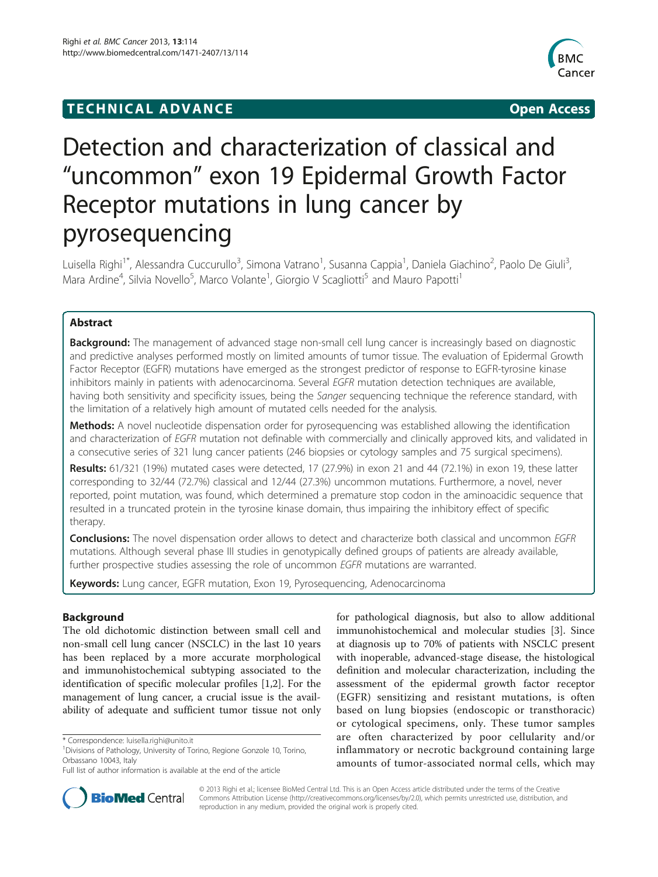# **TECHNICAL ADVANCE CONSUMING ACCESS**



# Detection and characterization of classical and "uncommon" exon 19 Epidermal Growth Factor Receptor mutations in lung cancer by pyrosequencing

Luisella Righi<sup>1\*</sup>, Alessandra Cuccurullo<sup>3</sup>, Simona Vatrano<sup>1</sup>, Susanna Cappia<sup>1</sup>, Daniela Giachino<sup>2</sup>, Paolo De Giuli<sup>3</sup> , Mara Ardine<sup>4</sup>, Silvia Novello<sup>5</sup>, Marco Volante<sup>1</sup>, Giorgio V Scagliotti<sup>5</sup> and Mauro Papotti<sup>1</sup>

# Abstract

Background: The management of advanced stage non-small cell lung cancer is increasingly based on diagnostic and predictive analyses performed mostly on limited amounts of tumor tissue. The evaluation of Epidermal Growth Factor Receptor (EGFR) mutations have emerged as the strongest predictor of response to EGFR-tyrosine kinase inhibitors mainly in patients with adenocarcinoma. Several EGFR mutation detection techniques are available, having both sensitivity and specificity issues, being the Sanger sequencing technique the reference standard, with the limitation of a relatively high amount of mutated cells needed for the analysis.

Methods: A novel nucleotide dispensation order for pyrosequencing was established allowing the identification and characterization of EGFR mutation not definable with commercially and clinically approved kits, and validated in a consecutive series of 321 lung cancer patients (246 biopsies or cytology samples and 75 surgical specimens).

Results: 61/321 (19%) mutated cases were detected, 17 (27.9%) in exon 21 and 44 (72.1%) in exon 19, these latter corresponding to 32/44 (72.7%) classical and 12/44 (27.3%) uncommon mutations. Furthermore, a novel, never reported, point mutation, was found, which determined a premature stop codon in the aminoacidic sequence that resulted in a truncated protein in the tyrosine kinase domain, thus impairing the inhibitory effect of specific therapy.

**Conclusions:** The novel dispensation order allows to detect and characterize both classical and uncommon EGFR mutations. Although several phase III studies in genotypically defined groups of patients are already available, further prospective studies assessing the role of uncommon EGFR mutations are warranted.

Keywords: Lung cancer, EGFR mutation, Exon 19, Pyrosequencing, Adenocarcinoma

# Background

The old dichotomic distinction between small cell and non-small cell lung cancer (NSCLC) in the last 10 years has been replaced by a more accurate morphological and immunohistochemical subtyping associated to the identification of specific molecular profiles [[1,2\]](#page-8-0). For the management of lung cancer, a crucial issue is the availability of adequate and sufficient tumor tissue not only for pathological diagnosis, but also to allow additional immunohistochemical and molecular studies [[3\]](#page-8-0). Since at diagnosis up to 70% of patients with NSCLC present with inoperable, advanced-stage disease, the histological definition and molecular characterization, including the assessment of the epidermal growth factor receptor (EGFR) sensitizing and resistant mutations, is often based on lung biopsies (endoscopic or transthoracic) or cytological specimens, only. These tumor samples are often characterized by poor cellularity and/or inflammatory or necrotic background containing large amounts of tumor-associated normal cells, which may



© 2013 Righi et al.; licensee BioMed Central Ltd. This is an Open Access article distributed under the terms of the Creative Commons Attribution License [\(http://creativecommons.org/licenses/by/2.0\)](http://creativecommons.org/licenses/by/2.0), which permits unrestricted use, distribution, and reproduction in any medium, provided the original work is properly cited.

<sup>\*</sup> Correspondence: [luisella.righi@unito.it](mailto:luisella.righi@unito.it) <sup>1</sup>

<sup>&</sup>lt;sup>1</sup> Divisions of Pathology, University of Torino, Regione Gonzole 10, Torino, Orbassano 10043, Italy

Full list of author information is available at the end of the article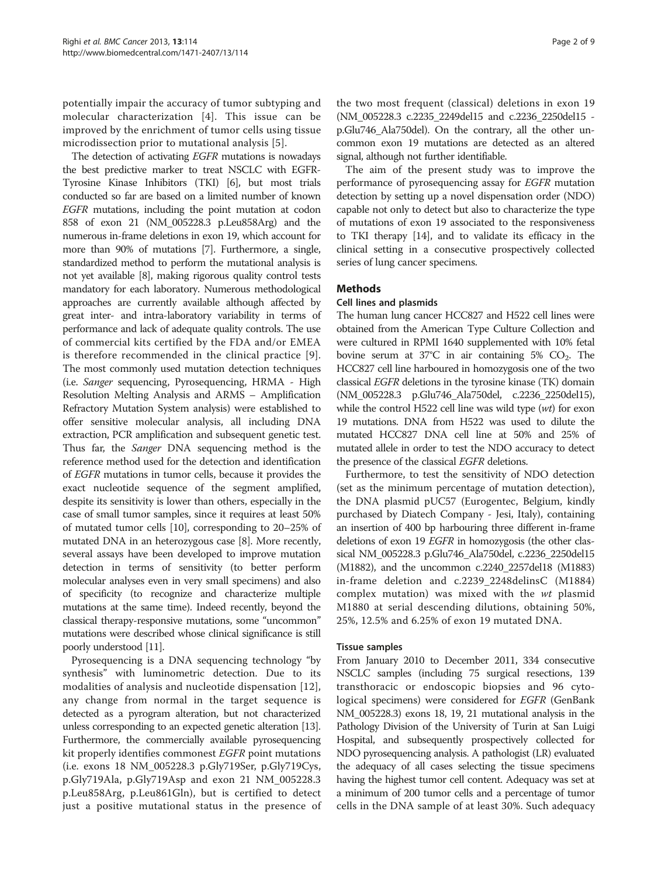potentially impair the accuracy of tumor subtyping and molecular characterization [[4\]](#page-8-0). This issue can be improved by the enrichment of tumor cells using tissue microdissection prior to mutational analysis [\[5](#page-8-0)].

The detection of activating EGFR mutations is nowadays the best predictive marker to treat NSCLC with EGFR-Tyrosine Kinase Inhibitors (TKI) [\[6\]](#page-8-0), but most trials conducted so far are based on a limited number of known EGFR mutations, including the point mutation at codon 858 of exon 21 (NM\_005228.3 p.Leu858Arg) and the numerous in-frame deletions in exon 19, which account for more than 90% of mutations [\[7](#page-8-0)]. Furthermore, a single, standardized method to perform the mutational analysis is not yet available [[8](#page-8-0)], making rigorous quality control tests mandatory for each laboratory. Numerous methodological approaches are currently available although affected by great inter- and intra-laboratory variability in terms of performance and lack of adequate quality controls. The use of commercial kits certified by the FDA and/or EMEA is therefore recommended in the clinical practice [[9](#page-8-0)]. The most commonly used mutation detection techniques (i.e. Sanger sequencing, Pyrosequencing, HRMA - High Resolution Melting Analysis and ARMS – Amplification Refractory Mutation System analysis) were established to offer sensitive molecular analysis, all including DNA extraction, PCR amplification and subsequent genetic test. Thus far, the Sanger DNA sequencing method is the reference method used for the detection and identification of EGFR mutations in tumor cells, because it provides the exact nucleotide sequence of the segment amplified, despite its sensitivity is lower than others, especially in the case of small tumor samples, since it requires at least 50% of mutated tumor cells [[10](#page-8-0)], corresponding to 20–25% of mutated DNA in an heterozygous case [[8\]](#page-8-0). More recently, several assays have been developed to improve mutation detection in terms of sensitivity (to better perform molecular analyses even in very small specimens) and also of specificity (to recognize and characterize multiple mutations at the same time). Indeed recently, beyond the classical therapy-responsive mutations, some "uncommon" mutations were described whose clinical significance is still poorly understood [\[11\]](#page-8-0).

Pyrosequencing is a DNA sequencing technology "by synthesis" with luminometric detection. Due to its modalities of analysis and nucleotide dispensation [[12](#page-8-0)], any change from normal in the target sequence is detected as a pyrogram alteration, but not characterized unless corresponding to an expected genetic alteration [\[13](#page-8-0)]. Furthermore, the commercially available pyrosequencing kit properly identifies commonest EGFR point mutations (i.e. exons 18 NM\_005228.3 p.Gly719Ser, p.Gly719Cys, p.Gly719Ala, p.Gly719Asp and exon 21 NM\_005228.3 p.Leu858Arg, p.Leu861Gln), but is certified to detect just a positive mutational status in the presence of the two most frequent (classical) deletions in exon 19 (NM\_005228.3 c.2235\_2249del15 and c.2236\_2250del15 p.Glu746\_Ala750del). On the contrary, all the other uncommon exon 19 mutations are detected as an altered signal, although not further identifiable.

The aim of the present study was to improve the performance of pyrosequencing assay for EGFR mutation detection by setting up a novel dispensation order (NDO) capable not only to detect but also to characterize the type of mutations of exon 19 associated to the responsiveness to TKI therapy [[14](#page-8-0)], and to validate its efficacy in the clinical setting in a consecutive prospectively collected series of lung cancer specimens.

# Methods

# Cell lines and plasmids

The human lung cancer HCC827 and H522 cell lines were obtained from the American Type Culture Collection and were cultured in RPMI 1640 supplemented with 10% fetal bovine serum at  $37^{\circ}$ C in air containing 5% CO<sub>2</sub>. The HCC827 cell line harboured in homozygosis one of the two classical EGFR deletions in the tyrosine kinase (TK) domain (NM\_005228.3 p.Glu746\_Ala750del, c.2236\_2250del15), while the control H522 cell line was wild type (wt) for exon 19 mutations. DNA from H522 was used to dilute the mutated HCC827 DNA cell line at 50% and 25% of mutated allele in order to test the NDO accuracy to detect the presence of the classical EGFR deletions.

Furthermore, to test the sensitivity of NDO detection (set as the minimum percentage of mutation detection), the DNA plasmid pUC57 (Eurogentec, Belgium, kindly purchased by Diatech Company - Jesi, Italy), containing an insertion of 400 bp harbouring three different in-frame deletions of exon 19 EGFR in homozygosis (the other classical NM\_005228.3 p.Glu746\_Ala750del, c.2236\_2250del15 (M1882), and the uncommon c.2240\_2257del18 (M1883) in-frame deletion and c.2239\_2248delinsC (M1884) complex mutation) was mixed with the wt plasmid M1880 at serial descending dilutions, obtaining 50%, 25%, 12.5% and 6.25% of exon 19 mutated DNA.

# Tissue samples

From January 2010 to December 2011, 334 consecutive NSCLC samples (including 75 surgical resections, 139 transthoracic or endoscopic biopsies and 96 cytological specimens) were considered for *EGFR* (GenBank NM\_005228.3) exons 18, 19, 21 mutational analysis in the Pathology Division of the University of Turin at San Luigi Hospital, and subsequently prospectively collected for NDO pyrosequencing analysis. A pathologist (LR) evaluated the adequacy of all cases selecting the tissue specimens having the highest tumor cell content. Adequacy was set at a minimum of 200 tumor cells and a percentage of tumor cells in the DNA sample of at least 30%. Such adequacy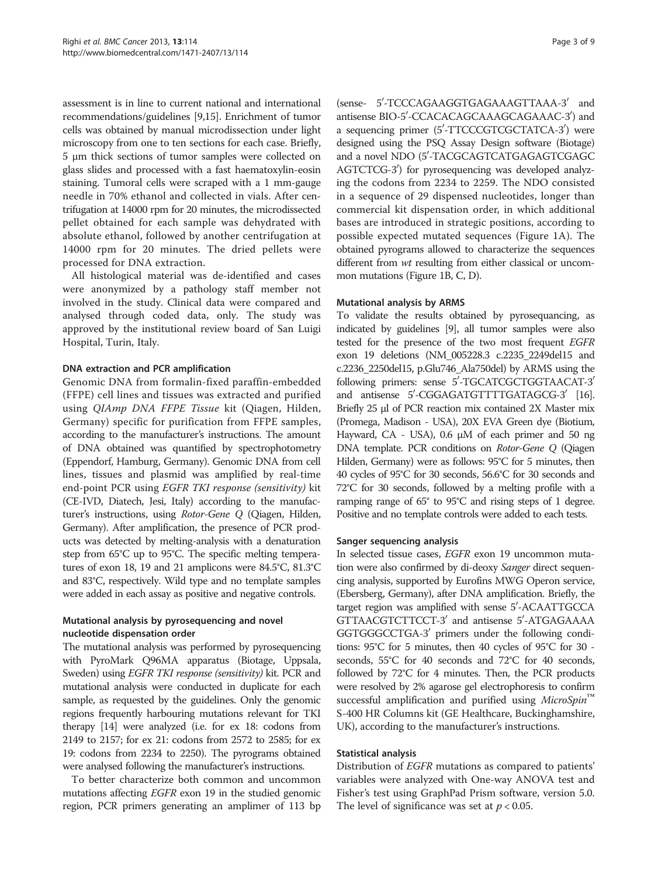assessment is in line to current national and international recommendations/guidelines [[9,15](#page-8-0)]. Enrichment of tumor cells was obtained by manual microdissection under light microscopy from one to ten sections for each case. Briefly, 5 μm thick sections of tumor samples were collected on glass slides and processed with a fast haematoxylin-eosin staining. Tumoral cells were scraped with a 1 mm-gauge needle in 70% ethanol and collected in vials. After centrifugation at 14000 rpm for 20 minutes, the microdissected pellet obtained for each sample was dehydrated with absolute ethanol, followed by another centrifugation at 14000 rpm for 20 minutes. The dried pellets were processed for DNA extraction.

All histological material was de-identified and cases were anonymized by a pathology staff member not involved in the study. Clinical data were compared and analysed through coded data, only. The study was approved by the institutional review board of San Luigi Hospital, Turin, Italy.

# DNA extraction and PCR amplification

Genomic DNA from formalin-fixed paraffin-embedded (FFPE) cell lines and tissues was extracted and purified using QIAmp DNA FFPE Tissue kit (Qiagen, Hilden, Germany) specific for purification from FFPE samples, according to the manufacturer's instructions. The amount of DNA obtained was quantified by spectrophotometry (Eppendorf, Hamburg, Germany). Genomic DNA from cell lines, tissues and plasmid was amplified by real-time end-point PCR using EGFR TKI response (sensitivity) kit (CE-IVD, Diatech, Jesi, Italy) according to the manufacturer's instructions, using Rotor-Gene Q (Qiagen, Hilden, Germany). After amplification, the presence of PCR products was detected by melting-analysis with a denaturation step from 65°C up to 95°C. The specific melting temperatures of exon 18, 19 and 21 amplicons were 84.5°C, 81.3°C and 83°C, respectively. Wild type and no template samples were added in each assay as positive and negative controls.

# Mutational analysis by pyrosequencing and novel nucleotide dispensation order

The mutational analysis was performed by pyrosequencing with PyroMark Q96MA apparatus (Biotage, Uppsala, Sweden) using EGFR TKI response (sensitivity) kit. PCR and mutational analysis were conducted in duplicate for each sample, as requested by the guidelines. Only the genomic regions frequently harbouring mutations relevant for TKI therapy [\[14](#page-8-0)] were analyzed (i.e. for ex 18: codons from 2149 to 2157; for ex 21: codons from 2572 to 2585; for ex 19: codons from 2234 to 2250). The pyrograms obtained were analysed following the manufacturer's instructions.

To better characterize both common and uncommon mutations affecting EGFR exon 19 in the studied genomic region, PCR primers generating an amplimer of 113 bp (sense- 5'-TCCCAGAAGGTGAGAAAGTTAAA-3' and antisense BIO-5'-CCACACAGCAAAGCAGAAAC-3') and a sequencing primer (5'-TTCCCGTCGCTATCA-3') were designed using the PSQ Assay Design software (Biotage) and a novel NDO (5'-TACGCAGTCATGAGAGTCGAGC AGTCTCG-3') for pyrosequencing was developed analyzing the codons from 2234 to 2259. The NDO consisted in a sequence of 29 dispensed nucleotides, longer than commercial kit dispensation order, in which additional bases are introduced in strategic positions, according to possible expected mutated sequences (Figure [1A](#page-3-0)). The obtained pyrograms allowed to characterize the sequences different from *wt* resulting from either classical or uncommon mutations (Figure [1B](#page-3-0), C, D).

#### Mutational analysis by ARMS

To validate the results obtained by pyrosequancing, as indicated by guidelines [\[9\]](#page-8-0), all tumor samples were also tested for the presence of the two most frequent EGFR exon 19 deletions (NM\_005228.3 c.2235\_2249del15 and c.2236\_2250del15, p.Glu746\_Ala750del) by ARMS using the following primers: sense 5'-TGCATCGCTGGTAACAT-3' and antisense 5'-CGGAGATGTTTTGATAGCG-3' [\[16\]](#page-8-0). Briefly 25 μl of PCR reaction mix contained 2X Master mix (Promega, Madison - USA), 20X EVA Green dye (Biotium, Hayward, CA - USA), 0.6 μM of each primer and 50 ng DNA template. PCR conditions on Rotor-Gene Q (Qiagen Hilden, Germany) were as follows: 95°C for 5 minutes, then 40 cycles of 95°C for 30 seconds, 56.6°C for 30 seconds and 72°C for 30 seconds, followed by a melting profile with a ramping range of 65° to 95°C and rising steps of 1 degree. Positive and no template controls were added to each tests.

#### Sanger sequencing analysis

In selected tissue cases, EGFR exon 19 uncommon mutation were also confirmed by di-deoxy Sanger direct sequencing analysis, supported by Eurofins MWG Operon service, (Ebersberg, Germany), after DNA amplification. Briefly, the target region was amplified with sense 5'-ACAATTGCCA GTTAACGTCTTCCT-3' and antisense 5'-ATGAGAAAA GGTGGGCCTGA-3' primers under the following conditions: 95°C for 5 minutes, then 40 cycles of 95°C for 30 seconds, 55°C for 40 seconds and 72°C for 40 seconds, followed by 72°C for 4 minutes. Then, the PCR products were resolved by 2% agarose gel electrophoresis to confirm successful amplification and purified using MicroSpin<sup>'</sup> S-400 HR Columns kit (GE Healthcare, Buckinghamshire, UK), according to the manufacturer's instructions.

#### Statistical analysis

Distribution of EGFR mutations as compared to patients' variables were analyzed with One-way ANOVA test and Fisher's test using GraphPad Prism software, version 5.0. The level of significance was set at  $p < 0.05$ .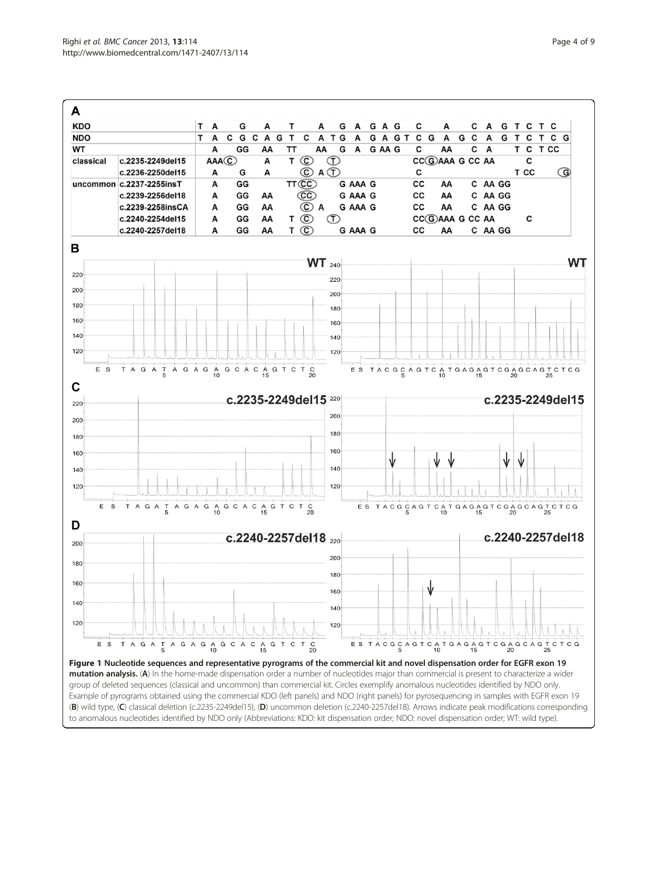<span id="page-3-0"></span>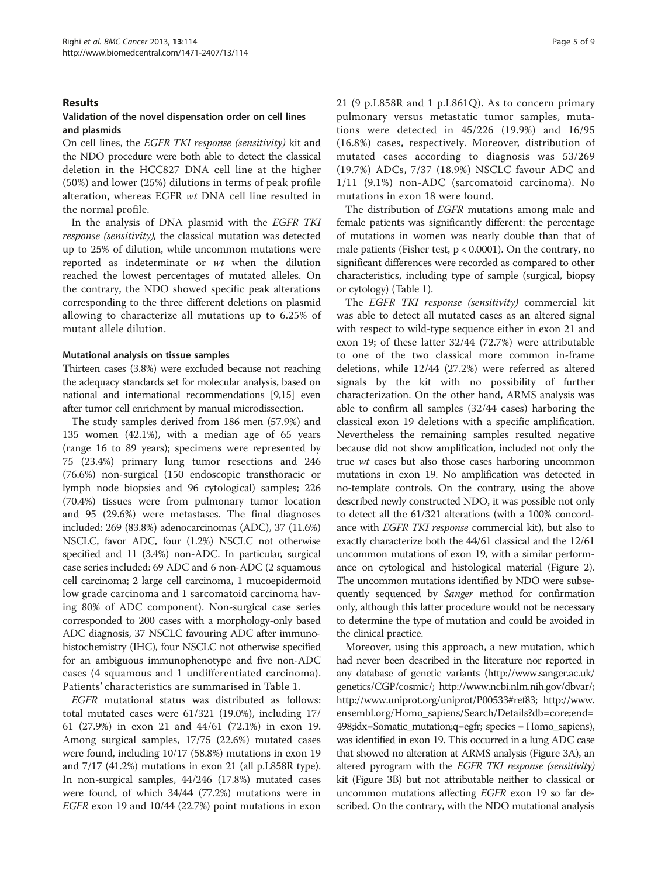# Results

# Validation of the novel dispensation order on cell lines and plasmids

On cell lines, the EGFR TKI response (sensitivity) kit and the NDO procedure were both able to detect the classical deletion in the HCC827 DNA cell line at the higher (50%) and lower (25%) dilutions in terms of peak profile alteration, whereas EGFR wt DNA cell line resulted in the normal profile.

In the analysis of DNA plasmid with the EGFR TKI response (sensitivity), the classical mutation was detected up to 25% of dilution, while uncommon mutations were reported as indeterminate or wt when the dilution reached the lowest percentages of mutated alleles. On the contrary, the NDO showed specific peak alterations corresponding to the three different deletions on plasmid allowing to characterize all mutations up to 6.25% of mutant allele dilution.

#### Mutational analysis on tissue samples

Thirteen cases (3.8%) were excluded because not reaching the adequacy standards set for molecular analysis, based on national and international recommendations [[9,15\]](#page-8-0) even after tumor cell enrichment by manual microdissection.

The study samples derived from 186 men (57.9%) and 135 women (42.1%), with a median age of 65 years (range 16 to 89 years); specimens were represented by 75 (23.4%) primary lung tumor resections and 246 (76.6%) non-surgical (150 endoscopic transthoracic or lymph node biopsies and 96 cytological) samples; 226 (70.4%) tissues were from pulmonary tumor location and 95 (29.6%) were metastases. The final diagnoses included: 269 (83.8%) adenocarcinomas (ADC), 37 (11.6%) NSCLC, favor ADC, four (1.2%) NSCLC not otherwise specified and 11 (3.4%) non-ADC. In particular, surgical case series included: 69 ADC and 6 non-ADC (2 squamous cell carcinoma; 2 large cell carcinoma, 1 mucoepidermoid low grade carcinoma and 1 sarcomatoid carcinoma having 80% of ADC component). Non-surgical case series corresponded to 200 cases with a morphology-only based ADC diagnosis, 37 NSCLC favouring ADC after immunohistochemistry (IHC), four NSCLC not otherwise specified for an ambiguous immunophenotype and five non-ADC cases (4 squamous and 1 undifferentiated carcinoma). Patients' characteristics are summarised in Table [1.](#page-5-0)

EGFR mutational status was distributed as follows: total mutated cases were 61/321 (19.0%), including 17/ 61 (27.9%) in exon 21 and 44/61 (72.1%) in exon 19. Among surgical samples, 17/75 (22.6%) mutated cases were found, including 10/17 (58.8%) mutations in exon 19 and 7/17 (41.2%) mutations in exon 21 (all p.L858R type). In non-surgical samples, 44/246 (17.8%) mutated cases were found, of which 34/44 (77.2%) mutations were in EGFR exon 19 and 10/44 (22.7%) point mutations in exon 21 (9 p.L858R and 1 p.L861Q). As to concern primary pulmonary versus metastatic tumor samples, mutations were detected in 45/226 (19.9%) and 16/95 (16.8%) cases, respectively. Moreover, distribution of mutated cases according to diagnosis was 53/269 (19.7%) ADCs, 7/37 (18.9%) NSCLC favour ADC and 1/11 (9.1%) non-ADC (sarcomatoid carcinoma). No mutations in exon 18 were found.

The distribution of EGFR mutations among male and female patients was significantly different: the percentage of mutations in women was nearly double than that of male patients (Fisher test,  $p < 0.0001$ ). On the contrary, no significant differences were recorded as compared to other characteristics, including type of sample (surgical, biopsy or cytology) (Table [1](#page-5-0)).

The EGFR TKI response (sensitivity) commercial kit was able to detect all mutated cases as an altered signal with respect to wild-type sequence either in exon 21 and exon 19; of these latter 32/44 (72.7%) were attributable to one of the two classical more common in-frame deletions, while 12/44 (27.2%) were referred as altered signals by the kit with no possibility of further characterization. On the other hand, ARMS analysis was able to confirm all samples (32/44 cases) harboring the classical exon 19 deletions with a specific amplification. Nevertheless the remaining samples resulted negative because did not show amplification, included not only the true wt cases but also those cases harboring uncommon mutations in exon 19. No amplification was detected in no-template controls. On the contrary, using the above described newly constructed NDO, it was possible not only to detect all the 61/321 alterations (with a 100% concordance with EGFR TKI response commercial kit), but also to exactly characterize both the 44/61 classical and the 12/61 uncommon mutations of exon 19, with a similar performance on cytological and histological material (Figure [2](#page-5-0)). The uncommon mutations identified by NDO were subsequently sequenced by Sanger method for confirmation only, although this latter procedure would not be necessary to determine the type of mutation and could be avoided in the clinical practice.

Moreover, using this approach, a new mutation, which had never been described in the literature nor reported in any database of genetic variants ([http://www.sanger.ac.uk/](http://www.sanger.ac.uk/genetics/CGP/cosmic/) [genetics/CGP/cosmic/;](http://www.sanger.ac.uk/genetics/CGP/cosmic/)<http://www.ncbi.nlm.nih.gov/dbvar/>; [http://www.uniprot.org/uniprot/P00533#ref83;](http://www.uniprot.org/uniprot/P00533#ref83) [http://www.](http://www.ensembl.org/Homo_sapiens/Search/Details?db=core;end=498;idx=Somatic_mutation;q=egfr) [ensembl.org/Homo\\_sapiens/Search/Details?db=core;end=](http://www.ensembl.org/Homo_sapiens/Search/Details?db=core;end=498;idx=Somatic_mutation;q=egfr) [498;idx=Somatic\\_mutation;q=egfr](http://www.ensembl.org/Homo_sapiens/Search/Details?db=core;end=498;idx=Somatic_mutation;q=egfr); species = Homo\_sapiens), was identified in exon 19. This occurred in a lung ADC case that showed no alteration at ARMS analysis (Figure [3](#page-6-0)A), an altered pyrogram with the EGFR TKI response (sensitivity) kit (Figure [3](#page-6-0)B) but not attributable neither to classical or uncommon mutations affecting EGFR exon 19 so far described. On the contrary, with the NDO mutational analysis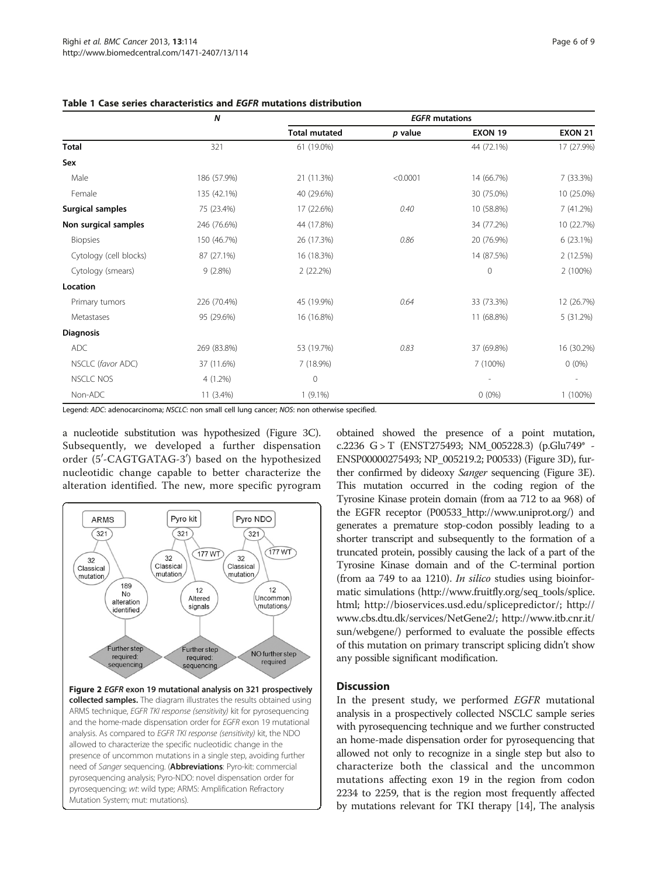|                         | $\boldsymbol{N}$ | <b>EGFR</b> mutations |          |                |                |
|-------------------------|------------------|-----------------------|----------|----------------|----------------|
|                         |                  | <b>Total mutated</b>  | p value  | <b>EXON 19</b> | <b>EXON 21</b> |
| <b>Total</b>            | 321              | 61 (19.0%)            |          | 44 (72.1%)     | 17 (27.9%)     |
| Sex                     |                  |                       |          |                |                |
| Male                    | 186 (57.9%)      | 21 (11.3%)            | < 0.0001 | 14 (66.7%)     | 7 (33.3%)      |
| Female                  | 135 (42.1%)      | 40 (29.6%)            |          | 30 (75.0%)     | 10 (25.0%)     |
| <b>Surgical samples</b> | 75 (23.4%)       | 17 (22.6%)            | 0.40     | 10 (58.8%)     | 7(41.2%)       |
| Non surgical samples    | 246 (76.6%)      | 44 (17.8%)            |          | 34 (77.2%)     | 10 (22.7%)     |
| <b>Biopsies</b>         | 150 (46.7%)      | 26 (17.3%)            | 0.86     | 20 (76.9%)     | $6(23.1\%)$    |
| Cytology (cell blocks)  | 87 (27.1%)       | 16 (18.3%)            |          | 14 (87.5%)     | 2 (12.5%)      |
| Cytology (smears)       | 9(2.8%)          | 2(22.2%)              |          | $\mathbf{0}$   | 2 (100%)       |
| Location                |                  |                       |          |                |                |
| Primary tumors          | 226 (70.4%)      | 45 (19.9%)            | 0.64     | 33 (73.3%)     | 12 (26.7%)     |
| Metastases              | 95 (29.6%)       | 16 (16.8%)            |          | 11 (68.8%)     | 5 (31.2%)      |
| <b>Diagnosis</b>        |                  |                       |          |                |                |
| ADC                     | 269 (83.8%)      | 53 (19.7%)            | 0.83     | 37 (69.8%)     | 16 (30.2%)     |
| NSCLC (favor ADC)       | 37 (11.6%)       | 7 (18.9%)             |          | 7 (100%)       | $0(0\%)$       |
| <b>NSCLC NOS</b>        | $4(1.2\%)$       | $\mathbf 0$           |          |                |                |
| Non-ADC                 | 11 (3.4%)        | $1(9.1\%)$            |          | $0(0\%)$       | $1(100\%)$     |

# <span id="page-5-0"></span>Table 1 Case series characteristics and EGFR mutations distribution

Legend: ADC: adenocarcinoma; NSCLC: non small cell lung cancer; NOS: non otherwise specified.

a nucleotide substitution was hypothesized (Figure [3C](#page-6-0)). Subsequently, we developed a further dispensation order (5′-CAGTGATAG-3′) based on the hypothesized nucleotidic change capable to better characterize the alteration identified. The new, more specific pyrogram



collected samples. The diagram illustrates the results obtained using ARMS technique, EGFR TKI response (sensitivity) kit for pyrosequencing and the home-made dispensation order for EGFR exon 19 mutational analysis. As compared to EGFR TKI response (sensitivity) kit, the NDO allowed to characterize the specific nucleotidic change in the presence of uncommon mutations in a single step, avoiding further need of Sanger sequencing. (Abbreviations: Pyro-kit: commercial pyrosequencing analysis; Pyro-NDO: novel dispensation order for pyrosequencing; wt: wild type; ARMS: Amplification Refractory Mutation System; mut: mutations).

obtained showed the presence of a point mutation, c.2236 G > T (ENST275493; NM\_005228.3) (p.Glu749\* - ENSP00000275493; NP\_005219.2; P00533) (Figure [3](#page-6-0)D), further confirmed by dideoxy Sanger sequencing (Figure [3](#page-6-0)E). This mutation occurred in the coding region of the Tyrosine Kinase protein domain (from aa 712 to aa 968) of the EGFR receptor (P00533\_<http://www.uniprot.org/>) and generates a premature stop-codon possibly leading to a shorter transcript and subsequently to the formation of a truncated protein, possibly causing the lack of a part of the Tyrosine Kinase domain and of the C-terminal portion (from aa 749 to aa 1210). In silico studies using bioinformatic simulations [\(http://www.fruitfly.org/seq\\_tools/splice.](http://www.fruitfly.org/seq_tools/splice.html) [html](http://www.fruitfly.org/seq_tools/splice.html); [http://bioservices.usd.edu/splicepredictor/;](http://bioservices.usd.edu/splicepredictor/) [http://](http://www.cbs.dtu.dk/services/NetGene2/) [www.cbs.dtu.dk/services/NetGene2/;](http://www.cbs.dtu.dk/services/NetGene2/) [http://www.itb.cnr.it/](http://www.itb.cnr.it/sun/webgene/) [sun/webgene/](http://www.itb.cnr.it/sun/webgene/)) performed to evaluate the possible effects of this mutation on primary transcript splicing didn't show any possible significant modification.

# **Discussion**

In the present study, we performed *EGFR* mutational analysis in a prospectively collected NSCLC sample series with pyrosequencing technique and we further constructed an home-made dispensation order for pyrosequencing that allowed not only to recognize in a single step but also to characterize both the classical and the uncommon mutations affecting exon 19 in the region from codon 2234 to 2259, that is the region most frequently affected by mutations relevant for TKI therapy [\[14\]](#page-8-0), The analysis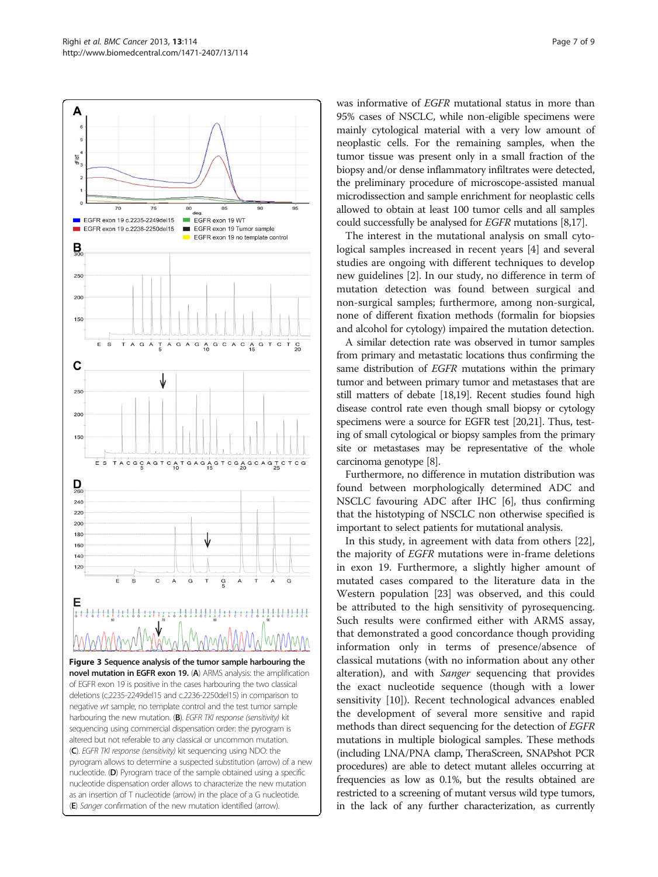<span id="page-6-0"></span>Δ

EGFR exon 19 c.2235-2249del15 EGFR exon 19 WT EGFR exon 19 Tumor sample EGFR exon 19 c.2236-2250del15  $\blacksquare$ EGFR exon 19 no template control  $\mathbf{B}$ 250  $200$ 150 A G A G A G C A C A G T C T G A Ť  $\overline{A}$ C 250  $20<sup>c</sup>$ 150 TACGCAGTCATGAGAGTCGAGCAGTCTCG E S  $\sum_{\alpha}$  $240$ 220  $200$  $180$ 160 140  $120$  $\sf A$ Ġ G Ğ Figure 3 Sequence analysis of the tumor sample harbouring the novel mutation in EGFR exon 19. (A) ARMS analysis: the amplification of EGFR exon 19 is positive in the cases harbouring the two classical deletions (c.2235-2249del15 and c.2236-2250del15) in comparison to negative wt sample, no template control and the test tumor sample harbouring the new mutation. (B). EGFR TKI response (sensitivity) kit sequencing using commercial dispensation order: the pyrogram is altered but not referable to any classical or uncommon mutation. (C). EGFR TKI response (sensitivity) kit sequencing using NDO: the pyrogram allows to determine a suspected substitution (arrow) of a new nucleotide. (D) Pyrogram trace of the sample obtained using a specific nucleotide dispensation order allows to characterize the new mutation as an insertion of T nucleotide (arrow) in the place of a G nucleotide (E) Sanger confirmation of the new mutation identified (arrow).

was informative of EGFR mutational status in more than 95% cases of NSCLC, while non-eligible specimens were mainly cytological material with a very low amount of neoplastic cells. For the remaining samples, when the tumor tissue was present only in a small fraction of the biopsy and/or dense inflammatory infiltrates were detected, the preliminary procedure of microscope-assisted manual microdissection and sample enrichment for neoplastic cells allowed to obtain at least 100 tumor cells and all samples could successfully be analysed for EGFR mutations [\[8,17\]](#page-8-0).

The interest in the mutational analysis on small cytological samples increased in recent years [\[4](#page-8-0)] and several studies are ongoing with different techniques to develop new guidelines [\[2](#page-8-0)]. In our study, no difference in term of mutation detection was found between surgical and non-surgical samples; furthermore, among non-surgical, none of different fixation methods (formalin for biopsies and alcohol for cytology) impaired the mutation detection.

A similar detection rate was observed in tumor samples from primary and metastatic locations thus confirming the same distribution of EGFR mutations within the primary tumor and between primary tumor and metastases that are still matters of debate [\[18,19](#page-8-0)]. Recent studies found high disease control rate even though small biopsy or cytology specimens were a source for EGFR test [\[20,21\]](#page-8-0). Thus, testing of small cytological or biopsy samples from the primary site or metastases may be representative of the whole carcinoma genotype [\[8\]](#page-8-0).

Furthermore, no difference in mutation distribution was found between morphologically determined ADC and NSCLC favouring ADC after IHC [\[6](#page-8-0)], thus confirming that the histotyping of NSCLC non otherwise specified is important to select patients for mutational analysis.

In this study, in agreement with data from others [\[22](#page-8-0)], the majority of EGFR mutations were in-frame deletions in exon 19. Furthermore, a slightly higher amount of mutated cases compared to the literature data in the Western population [\[23\]](#page-8-0) was observed, and this could be attributed to the high sensitivity of pyrosequencing. Such results were confirmed either with ARMS assay, that demonstrated a good concordance though providing information only in terms of presence/absence of classical mutations (with no information about any other alteration), and with Sanger sequencing that provides the exact nucleotide sequence (though with a lower sensitivity [[10](#page-8-0)]). Recent technological advances enabled the development of several more sensitive and rapid methods than direct sequencing for the detection of EGFR mutations in multiple biological samples. These methods (including LNA/PNA clamp, TheraScreen, SNAPshot PCR procedures) are able to detect mutant alleles occurring at frequencies as low as 0.1%, but the results obtained are restricted to a screening of mutant versus wild type tumors, in the lack of any further characterization, as currently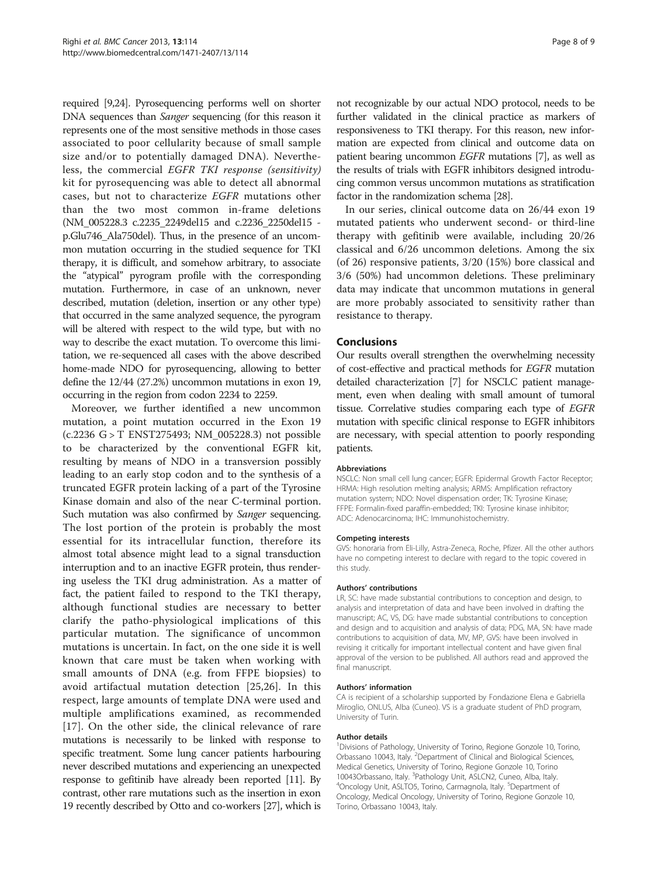required [\[9,24](#page-8-0)]. Pyrosequencing performs well on shorter DNA sequences than Sanger sequencing (for this reason it represents one of the most sensitive methods in those cases associated to poor cellularity because of small sample size and/or to potentially damaged DNA). Nevertheless, the commercial EGFR TKI response (sensitivity) kit for pyrosequencing was able to detect all abnormal cases, but not to characterize EGFR mutations other than the two most common in-frame deletions (NM\_005228.3 c.2235\_2249del15 and c.2236\_2250del15 p.Glu746\_Ala750del). Thus, in the presence of an uncommon mutation occurring in the studied sequence for TKI therapy, it is difficult, and somehow arbitrary, to associate the "atypical" pyrogram profile with the corresponding mutation. Furthermore, in case of an unknown, never described, mutation (deletion, insertion or any other type) that occurred in the same analyzed sequence, the pyrogram will be altered with respect to the wild type, but with no way to describe the exact mutation. To overcome this limitation, we re-sequenced all cases with the above described home-made NDO for pyrosequencing, allowing to better define the 12/44 (27.2%) uncommon mutations in exon 19, occurring in the region from codon 2234 to 2259.

Moreover, we further identified a new uncommon mutation, a point mutation occurred in the Exon 19 (c.2236 G > T ENST275493; NM\_005228.3) not possible to be characterized by the conventional EGFR kit, resulting by means of NDO in a transversion possibly leading to an early stop codon and to the synthesis of a truncated EGFR protein lacking of a part of the Tyrosine Kinase domain and also of the near C-terminal portion. Such mutation was also confirmed by Sanger sequencing. The lost portion of the protein is probably the most essential for its intracellular function, therefore its almost total absence might lead to a signal transduction interruption and to an inactive EGFR protein, thus rendering useless the TKI drug administration. As a matter of fact, the patient failed to respond to the TKI therapy, although functional studies are necessary to better clarify the patho-physiological implications of this particular mutation. The significance of uncommon mutations is uncertain. In fact, on the one side it is well known that care must be taken when working with small amounts of DNA (e.g. from FFPE biopsies) to avoid artifactual mutation detection [\[25](#page-8-0),[26\]](#page-8-0). In this respect, large amounts of template DNA were used and multiple amplifications examined, as recommended [[17](#page-8-0)]. On the other side, the clinical relevance of rare mutations is necessarily to be linked with response to specific treatment. Some lung cancer patients harbouring never described mutations and experiencing an unexpected response to gefitinib have already been reported [[11](#page-8-0)]. By contrast, other rare mutations such as the insertion in exon 19 recently described by Otto and co-workers [\[27\]](#page-8-0), which is

not recognizable by our actual NDO protocol, needs to be further validated in the clinical practice as markers of responsiveness to TKI therapy. For this reason, new information are expected from clinical and outcome data on patient bearing uncommon EGFR mutations [[7](#page-8-0)], as well as the results of trials with EGFR inhibitors designed introducing common versus uncommon mutations as stratification factor in the randomization schema [\[28](#page-8-0)].

In our series, clinical outcome data on 26/44 exon 19 mutated patients who underwent second- or third-line therapy with gefitinib were available, including 20/26 classical and 6/26 uncommon deletions. Among the six (of 26) responsive patients, 3/20 (15%) bore classical and 3/6 (50%) had uncommon deletions. These preliminary data may indicate that uncommon mutations in general are more probably associated to sensitivity rather than resistance to therapy.

# Conclusions

Our results overall strengthen the overwhelming necessity of cost-effective and practical methods for EGFR mutation detailed characterization [[7\]](#page-8-0) for NSCLC patient management, even when dealing with small amount of tumoral tissue. Correlative studies comparing each type of EGFR mutation with specific clinical response to EGFR inhibitors are necessary, with special attention to poorly responding patients.

#### Abbreviations

NSCLC: Non small cell lung cancer; EGFR: Epidermal Growth Factor Receptor; HRMA: High resolution melting analysis; ARMS: Amplification refractory mutation system; NDO: Novel dispensation order; TK: Tyrosine Kinase; FFPE: Formalin-fixed paraffin-embedded; TKI: Tyrosine kinase inhibitor; ADC: Adenocarcinoma; IHC: Immunohistochemistry.

#### Competing interests

GVS: honoraria from Eli-Lilly, Astra-Zeneca, Roche, Pfizer. All the other authors have no competing interest to declare with regard to the topic covered in this study.

#### Authors' contributions

LR, SC: have made substantial contributions to conception and design, to analysis and interpretation of data and have been involved in drafting the manuscript; AC, VS, DG: have made substantial contributions to conception and design and to acquisition and analysis of data; PDG, MA, SN: have made contributions to acquisition of data, MV, MP, GVS: have been involved in revising it critically for important intellectual content and have given final approval of the version to be published. All authors read and approved the final manuscript.

#### Authors' information

CA is recipient of a scholarship supported by Fondazione Elena e Gabriella Miroglio, ONLUS, Alba (Cuneo). VS is a graduate student of PhD program, University of Turin.

#### Author details

<sup>1</sup> Divisions of Pathology, University of Torino, Regione Gonzole 10, Torino, Orbassano 10043, Italy. <sup>2</sup>Department of Clinical and Biological Sciences, Medical Genetics, University of Torino, Regione Gonzole 10, Torino 10043Orbassano, Italy. <sup>3</sup>Pathology Unit, ASLCN2, Cuneo, Alba, Italy.<br><sup>4</sup>Opcology Unit, ASLTO5, Torino, Carmagnola, Italy. <sup>5</sup>Department o Oncology Unit, ASLTO5, Torino, Carmagnola, Italy. <sup>5</sup>Department of Oncology, Medical Oncology, University of Torino, Regione Gonzole 10, Torino, Orbassano 10043, Italy.